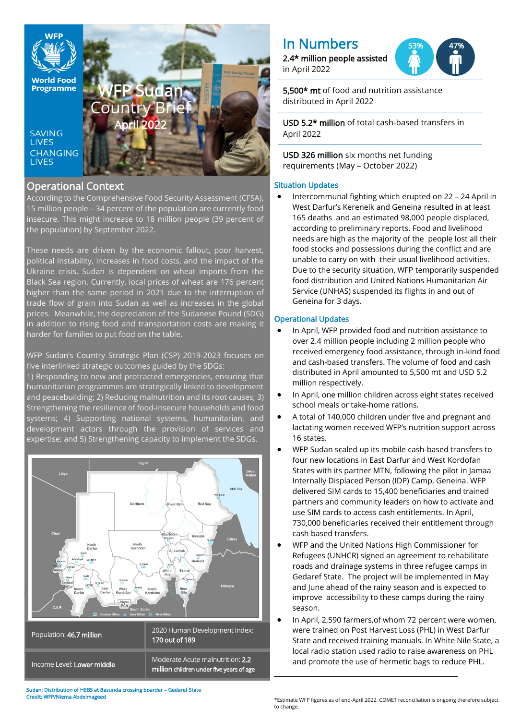

# Operational Context

According to the Comprehensive Food Security Assessment (CFSA), 15 million people – 34 percent of the population are currently food insecure. This might increase to 18 million people (39 percent of the population) by September 2022.

These needs are driven by the economic fallout, poor harvest, political instability, increases in food costs, and the impact of the Ukraine crisis. Sudan is dependent on wheat imports from the Black Sea region. Currently, local prices of wheat are 176 percent higher than the same period in 2021 due to the interruption of trade flow of grain into Sudan as well as increases in the global prices. Meanwhile, the depreciation of the Sudanese Pound (SDG) in addition to rising food and transportation costs are making it harder for families to put food on the table.

WFP Sudan's Country Strategic Plan (CSP) 2019-2023 focuses on five interlinked strategic outcomes guided by the SDGs:

1) Responding to new and protracted emergencies, ensuring that humanitarian programmes are strategically linked to development and peacebuilding; 2) Reducing malnutrition and its root causes; 3) Strengthening the resilience of food-insecure households and food systems; 4) Supporting national systems, humanitarian, and development actors through the provision of services and expertise; and 5) Strengthening capacity to implement the SDGs.



|                            | 170 out of 189                                                               |
|----------------------------|------------------------------------------------------------------------------|
| Income Level: Lower middle | Moderate Acute malnutrition: 2.2<br>million children under five years of age |

Sudan: Distribution of HEBS at Basunda crossing boarder – Gedaref State Credit: WFP/Niema Abdelmageed

# In Numbers

2.4\* million people assisted in April 2022



5,500\* mt of food and nutrition assistance distributed in April 2022

USD 5.2\* million of total cash-based transfers in April 2022

USD 326 million six months net funding requirements (May – October 2022)

# Situation Updates

• Intercommunal fighting which erupted on 22 – 24 April in West Darfur's Kereneik and Geneina resulted in at least 165 deaths and an estimated 98,000 people displaced, according to preliminary reports. Food and livelihood needs are high as the majority of the people lost all their food stocks and possessions during the conflict and are unable to carry on with their usual livelihood activities. Due to the security situation, WFP temporarily suspended food distribution and United Nations Humanitarian Air Service (UNHAS) suspended its flights in and out of Geneina for 3 days.

# Operational Updates

- In April, WFP provided food and nutrition assistance to over 2.4 million people including 2 million people who received emergency food assistance, through in-kind food and cash-based transfers. The volume of food and cash distributed in April amounted to 5,500 mt and USD 5.2 million respectively.
- In April, one million children across eight states received school meals or take-home rations.
- A total of 140,000 children under five and pregnant and lactating women received WFP's nutrition support across 16 states.
- WFP Sudan scaled up its mobile cash-based transfers to four new locations in East Darfur and West Kordofan States with its partner MTN, following the pilot in Jamaa Internally Displaced Person (IDP) Camp, Geneina. WFP delivered SIM cards to 15,400 beneficiaries and trained partners and community leaders on how to activate and use SIM cards to access cash entitlements. In April, 730,000 beneficiaries received their entitlement through cash based transfers.
- WFP and the United Nations High Commissioner for Refugees (UNHCR) signed an agreement to rehabilitate roads and drainage systems in three refugee camps in Gedaref State. The project will be implemented in May and June ahead of the rainy season and is expected to improve accessibility to these camps during the rainy season.
- In April, 2,590 farmers,of whom 72 percent were women, were trained on Post Harvest Loss (PHL) in West Darfur State and received training manuals. In White Nile State, a local radio station used radio to raise awareness on PHL and promote the use of hermetic bags to reduce PHL.

\*Estimate WFP figures as of end-April 2022. COMET reconciliation is ongoing therefore subject to change.